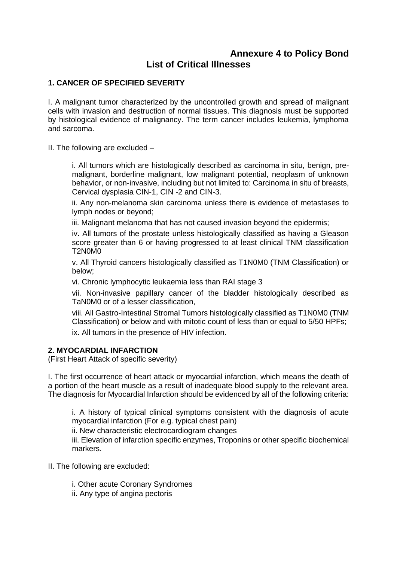# **Annexure 4 to Policy Bond List of Critical Illnesses**

# **1. CANCER OF SPECIFIED SEVERITY**

I. A malignant tumor characterized by the uncontrolled growth and spread of malignant cells with invasion and destruction of normal tissues. This diagnosis must be supported by histological evidence of malignancy. The term cancer includes leukemia, lymphoma and sarcoma.

II. The following are excluded –

i. All tumors which are histologically described as carcinoma in situ, benign, premalignant, borderline malignant, low malignant potential, neoplasm of unknown behavior, or non-invasive, including but not limited to: Carcinoma in situ of breasts, Cervical dysplasia CIN-1, CIN -2 and CIN-3.

ii. Any non-melanoma skin carcinoma unless there is evidence of metastases to lymph nodes or beyond;

iii. Malignant melanoma that has not caused invasion beyond the epidermis;

iv. All tumors of the prostate unless histologically classified as having a Gleason score greater than 6 or having progressed to at least clinical TNM classification T2N0M0

v. All Thyroid cancers histologically classified as T1N0M0 (TNM Classification) or below;

vi. Chronic lymphocytic leukaemia less than RAI stage 3

vii. Non-invasive papillary cancer of the bladder histologically described as TaN0M0 or of a lesser classification,

viii. All Gastro-Intestinal Stromal Tumors histologically classified as T1N0M0 (TNM Classification) or below and with mitotic count of less than or equal to 5/50 HPFs;

ix. All tumors in the presence of HIV infection.

# **2. MYOCARDIAL INFARCTION**

(First Heart Attack of specific severity)

I. The first occurrence of heart attack or myocardial infarction, which means the death of a portion of the heart muscle as a result of inadequate blood supply to the relevant area. The diagnosis for Myocardial Infarction should be evidenced by all of the following criteria:

i. A history of typical clinical symptoms consistent with the diagnosis of acute myocardial infarction (For e.g. typical chest pain)

ii. New characteristic electrocardiogram changes

iii. Elevation of infarction specific enzymes, Troponins or other specific biochemical markers.

- II. The following are excluded:
	- i. Other acute Coronary Syndromes
	- ii. Any type of angina pectoris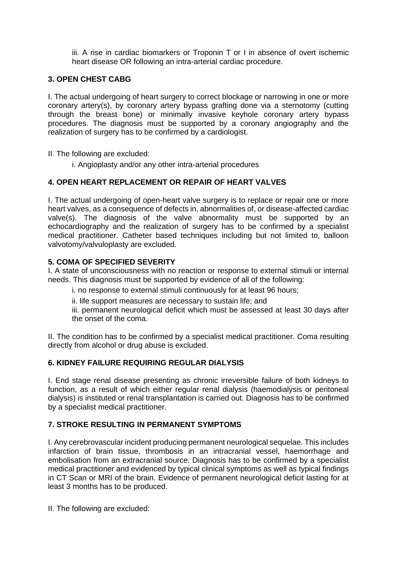iii. A rise in cardiac biomarkers or Troponin T or I in absence of overt ischemic heart disease OR following an intra-arterial cardiac procedure.

# **3. OPEN CHEST CABG**

I. The actual undergoing of heart surgery to correct blockage or narrowing in one or more coronary artery(s), by coronary artery bypass grafting done via a sternotomy (cutting through the breast bone) or minimally invasive keyhole coronary artery bypass procedures. The diagnosis must be supported by a coronary angiography and the realization of surgery has to be confirmed by a cardiologist.

II. The following are excluded:

i. Angioplasty and/or any other intra-arterial procedures

#### **4. OPEN HEART REPLACEMENT OR REPAIR OF HEART VALVES**

I. The actual undergoing of open-heart valve surgery is to replace or repair one or more heart valves, as a consequence of defects in, abnormalities of, or disease-affected cardiac valve(s). The diagnosis of the valve abnormality must be supported by an echocardiography and the realization of surgery has to be confirmed by a specialist medical practitioner. Catheter based techniques including but not limited to, balloon valvotomy/valvuloplasty are excluded.

# **5. COMA OF SPECIFIED SEVERITY**

I. A state of unconsciousness with no reaction or response to external stimuli or internal needs. This diagnosis must be supported by evidence of all of the following:

i. no response to external stimuli continuously for at least 96 hours;

ii. life support measures are necessary to sustain life; and

iii. permanent neurological deficit which must be assessed at least 30 days after the onset of the coma.

II. The condition has to be confirmed by a specialist medical practitioner. Coma resulting directly from alcohol or drug abuse is excluded.

#### **6. KIDNEY FAILURE REQUIRING REGULAR DIALYSIS**

I. End stage renal disease presenting as chronic irreversible failure of both kidneys to function, as a result of which either regular renal dialysis (haemodialysis or peritoneal dialysis) is instituted or renal transplantation is carried out. Diagnosis has to be confirmed by a specialist medical practitioner.

#### **7. STROKE RESULTING IN PERMANENT SYMPTOMS**

I. Any cerebrovascular incident producing permanent neurological sequelae. This includes infarction of brain tissue, thrombosis in an intracranial vessel, haemorrhage and embolisation from an extracranial source. Diagnosis has to be confirmed by a specialist medical practitioner and evidenced by typical clinical symptoms as well as typical findings in CT Scan or MRI of the brain. Evidence of permanent neurological deficit lasting for at least 3 months has to be produced.

II. The following are excluded: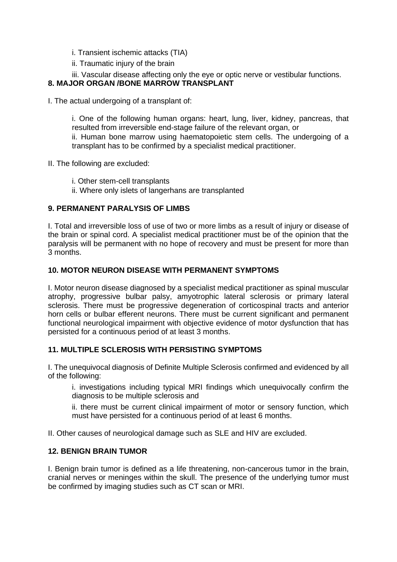- i. Transient ischemic attacks (TIA)
- ii. Traumatic injury of the brain
- iii. Vascular disease affecting only the eye or optic nerve or vestibular functions.

# **8. MAJOR ORGAN /BONE MARROW TRANSPLANT**

I. The actual undergoing of a transplant of:

i. One of the following human organs: heart, lung, liver, kidney, pancreas, that resulted from irreversible end-stage failure of the relevant organ, or

ii. Human bone marrow using haematopoietic stem cells. The undergoing of a transplant has to be confirmed by a specialist medical practitioner.

- II. The following are excluded:
	- i. Other stem-cell transplants
	- ii. Where only islets of langerhans are transplanted

# **9. PERMANENT PARALYSIS OF LIMBS**

I. Total and irreversible loss of use of two or more limbs as a result of injury or disease of the brain or spinal cord. A specialist medical practitioner must be of the opinion that the paralysis will be permanent with no hope of recovery and must be present for more than 3 months.

## **10. MOTOR NEURON DISEASE WITH PERMANENT SYMPTOMS**

I. Motor neuron disease diagnosed by a specialist medical practitioner as spinal muscular atrophy, progressive bulbar palsy, amyotrophic lateral sclerosis or primary lateral sclerosis. There must be progressive degeneration of corticospinal tracts and anterior horn cells or bulbar efferent neurons. There must be current significant and permanent functional neurological impairment with objective evidence of motor dysfunction that has persisted for a continuous period of at least 3 months.

#### **11. MULTIPLE SCLEROSIS WITH PERSISTING SYMPTOMS**

I. The unequivocal diagnosis of Definite Multiple Sclerosis confirmed and evidenced by all of the following:

i. investigations including typical MRI findings which unequivocally confirm the diagnosis to be multiple sclerosis and

ii. there must be current clinical impairment of motor or sensory function, which must have persisted for a continuous period of at least 6 months.

II. Other causes of neurological damage such as SLE and HIV are excluded.

#### **12. BENIGN BRAIN TUMOR**

I. Benign brain tumor is defined as a life threatening, non-cancerous tumor in the brain, cranial nerves or meninges within the skull. The presence of the underlying tumor must be confirmed by imaging studies such as CT scan or MRI.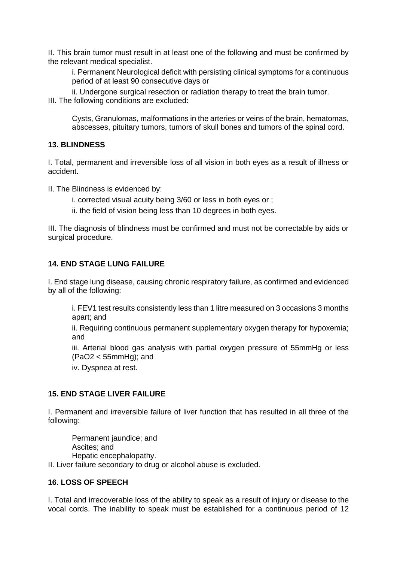II. This brain tumor must result in at least one of the following and must be confirmed by the relevant medical specialist.

i. Permanent Neurological deficit with persisting clinical symptoms for a continuous period of at least 90 consecutive days or

ii. Undergone surgical resection or radiation therapy to treat the brain tumor. III. The following conditions are excluded:

Cysts, Granulomas, malformations in the arteries or veins of the brain, hematomas, abscesses, pituitary tumors, tumors of skull bones and tumors of the spinal cord.

## **13. BLINDNESS**

I. Total, permanent and irreversible loss of all vision in both eyes as a result of illness or accident.

II. The Blindness is evidenced by:

- i. corrected visual acuity being 3/60 or less in both eyes or ;
- ii. the field of vision being less than 10 degrees in both eyes.

III. The diagnosis of blindness must be confirmed and must not be correctable by aids or surgical procedure.

## **14. END STAGE LUNG FAILURE**

I. End stage lung disease, causing chronic respiratory failure, as confirmed and evidenced by all of the following:

i. FEV1 test results consistently less than 1 litre measured on 3 occasions 3 months apart; and

ii. Requiring continuous permanent supplementary oxygen therapy for hypoxemia; and

iii. Arterial blood gas analysis with partial oxygen pressure of 55mmHg or less (PaO2 < 55mmHg); and

iv. Dyspnea at rest.

#### **15. END STAGE LIVER FAILURE**

I. Permanent and irreversible failure of liver function that has resulted in all three of the following:

Permanent jaundice; and Ascites; and Hepatic encephalopathy. II. Liver failure secondary to drug or alcohol abuse is excluded.

#### **16. LOSS OF SPEECH**

I. Total and irrecoverable loss of the ability to speak as a result of injury or disease to the vocal cords. The inability to speak must be established for a continuous period of 12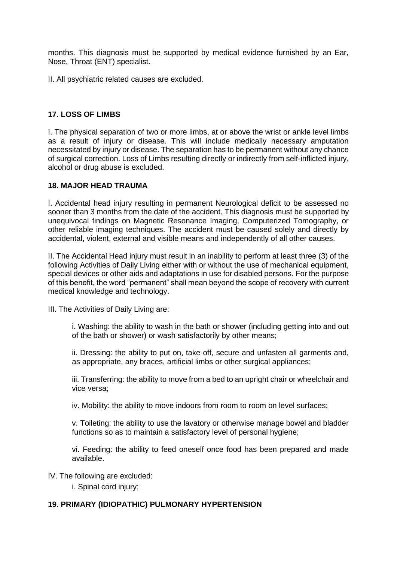months. This diagnosis must be supported by medical evidence furnished by an Ear, Nose, Throat (ENT) specialist.

II. All psychiatric related causes are excluded.

# **17. LOSS OF LIMBS**

I. The physical separation of two or more limbs, at or above the wrist or ankle level limbs as a result of injury or disease. This will include medically necessary amputation necessitated by injury or disease. The separation has to be permanent without any chance of surgical correction. Loss of Limbs resulting directly or indirectly from self-inflicted injury, alcohol or drug abuse is excluded.

## **18. MAJOR HEAD TRAUMA**

I. Accidental head injury resulting in permanent Neurological deficit to be assessed no sooner than 3 months from the date of the accident. This diagnosis must be supported by unequivocal findings on Magnetic Resonance Imaging, Computerized Tomography, or other reliable imaging techniques. The accident must be caused solely and directly by accidental, violent, external and visible means and independently of all other causes.

II. The Accidental Head injury must result in an inability to perform at least three (3) of the following Activities of Daily Living either with or without the use of mechanical equipment, special devices or other aids and adaptations in use for disabled persons. For the purpose of this benefit, the word "permanent" shall mean beyond the scope of recovery with current medical knowledge and technology.

III. The Activities of Daily Living are:

i. Washing: the ability to wash in the bath or shower (including getting into and out of the bath or shower) or wash satisfactorily by other means;

ii. Dressing: the ability to put on, take off, secure and unfasten all garments and, as appropriate, any braces, artificial limbs or other surgical appliances;

iii. Transferring: the ability to move from a bed to an upright chair or wheelchair and vice versa;

iv. Mobility: the ability to move indoors from room to room on level surfaces;

v. Toileting: the ability to use the lavatory or otherwise manage bowel and bladder functions so as to maintain a satisfactory level of personal hygiene;

vi. Feeding: the ability to feed oneself once food has been prepared and made available.

IV. The following are excluded:

i. Spinal cord injury;

# **19. PRIMARY (IDIOPATHIC) PULMONARY HYPERTENSION**